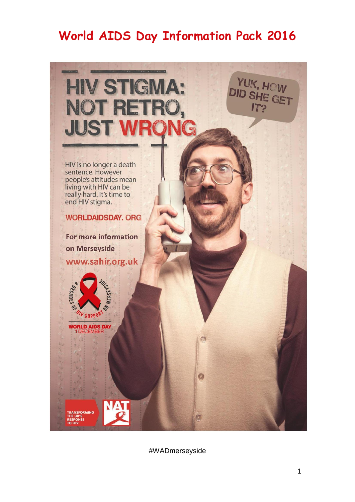# **World AIDS Day Information Pack 2016**



#WADmerseyside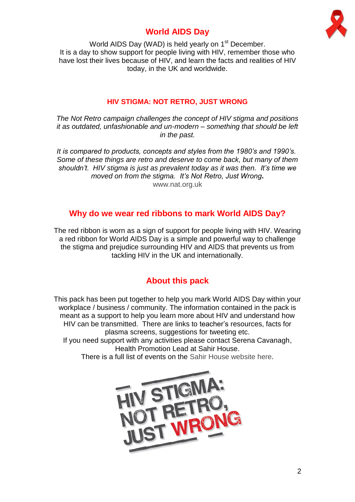



World AIDS Day (WAD) is held yearly on 1<sup>st</sup> December. It is a day to show support for people living with HIV, remember those who have lost their lives because of HIV, and learn the facts and realities of HIV today, in the UK and worldwide.

## **HIV STIGMA: NOT RETRO, JUST WRONG**

*The Not Retro campaign challenges the concept of HIV stigma and positions it as outdated, unfashionable and un-modern – something that should be left in the past.*

*It is compared to products, concepts and styles from the 1980's and 1990's. Some of these things are retro and deserve to come back, but many of them shouldn't. HIV stigma is just as prevalent today as it was then. It's time we moved on from the stigma. It's Not Retro, Just Wrong***.** [www.nat.org.uk](http://www.nat.org.uk/)

# **Why do we wear red ribbons to mark World AIDS Day?**

The red ribbon is worn as a sign of support for people living with HIV. Wearing a red ribbon for World AIDS Day is a simple and powerful way to challenge the stigma and prejudice surrounding HIV and AIDS that prevents us from tackling HIV in the UK and internationally.

# **About this pack**

This pack has been put together to help you mark World AIDS Day within your workplace / business / community. The information contained in the pack is meant as a support to help you learn more about HIV and understand how HIV can be transmitted. There are links to teacher's resources, facts for plasma screens, suggestions for tweeting etc. If you need support with any activities please contact Serena Cavanagh, Health Promotion Lead at Sahir House.

There is a full list of events on the [Sahir House website here.](http://www.sahir.org.uk/what-we-do/health-promotion-services/world-aids-day/)

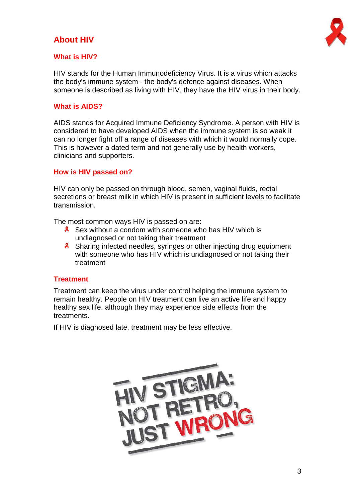# **About HIV**



## **What is HIV?**

HIV stands for the Human Immunodeficiency Virus. It is a virus which attacks the body's immune system - the body's defence against diseases. When someone is described as living with HIV, they have the HIV virus in their body.

### **What is AIDS?**

AIDS stands for Acquired Immune Deficiency Syndrome. A person with HIV is considered to have developed AIDS when the immune system is so weak it can no longer fight off a range of diseases with which it would normally cope. This is however a dated term and not generally use by health workers, clinicians and supporters.

## **How is HIV passed on?**

HIV can only be passed on through blood, semen, vaginal fluids, rectal secretions or breast milk in which HIV is present in sufficient levels to facilitate transmission.

The most common ways HIV is passed on are:

- **8** Sex without a condom with someone who has HIV which is undiagnosed or not taking their treatment
- **8** Sharing infected needles, syringes or other injecting drug equipment with someone who has HIV which is undiagnosed or not taking their treatment

#### **Treatment**

Treatment can keep the virus under control helping the immune system to remain healthy. People on HIV treatment can live an active life and happy healthy sex life, although they may experience side effects from the treatments.

If HIV is diagnosed late, treatment may be less effective.

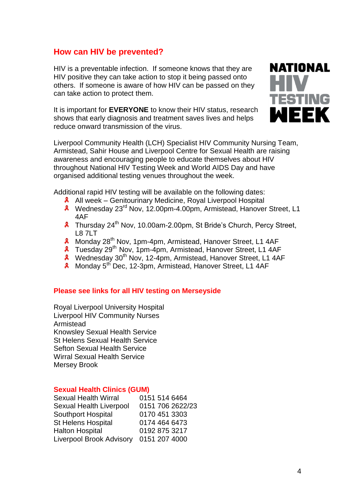## **How can HIV be prevented?**

HIV is a preventable infection. If someone knows that they are HIV positive they can take action to stop it being passed onto others. If someone is aware of how HIV can be passed on they can take action to protect them.

It is important for **EVERYONE** to know their HIV status, research shows that early diagnosis and treatment saves lives and helps reduce onward transmission of the virus.



Liverpool Community Health (LCH) Specialist HIV Community Nursing Team, Armistead, Sahir House and Liverpool Centre for Sexual Health are raising awareness and encouraging people to educate themselves about HIV throughout National HIV Testing Week and World AIDS Day and have organised additional testing venues throughout the week.

Additional rapid HIV testing will be available on the following dates:

- **A** All week Genitourinary Medicine, Royal Liverpool Hospital
- Wednesday 23rd Nov, 12.00pm-4.00pm, Armistead, Hanover Street, L1 4AF
- **A** Thursday 24<sup>th</sup> Nov, 10.00am-2.00pm, St Bride's Church, Percy Street, L8 7LT
- $\mathbf{x}$ Monday 28<sup>th</sup> Nov, 1pm-4pm, Armistead, Hanover Street, L1 4AF
- **8** Tuesday 29<sup>th</sup> Nov, 1pm-4pm, Armistead, Hanover Street, L1 4AF
- **A** Wednesday 30<sup>th</sup> Nov, 12-4pm, Armistead, Hanover Street, L1 4AF
- $\mathbf{x}$ Monday 5<sup>th</sup> Dec, 12-3pm, Armistead, Hanover Street, L1 4AF

#### **Please see links for all HIV testing on Merseyside**

[Royal Liverpool University Hospital](http://www.axess.clinic/) [Liverpool HIV Community Nurses](http://www.liverpoolcommunityhealth.nhs.uk/health-services/nursing-services/community-hiv-aids-nursing-service.htm) [Armistead](http://www.liverpoolcommunityhealth.nhs.uk/health-services/sexual-health/armistead.htm) [Knowsley Sexual Health Service](http://www.sexualhealthknowsley.nhs.uk/clinics/) [St Helens Sexual Health Service](https://www.sthelens.gov.uk/public-health-and-wellbeing/services/sexual-health-services/) [Sefton Sexual Health Service](http://www.seftonsexualhealth.co.uk/) [Wirral Sexual Health Service](https://www.sexualhealthwirral.nhs.uk/) [Mersey Brook](https://www.brook.org.uk/find-a-service?rc=26)

#### **Sexual Health Clinics (GUM)**

| <b>Sexual Health Wirral</b>     | 0151 514 6464    |
|---------------------------------|------------------|
| Sexual Health Liverpool         | 0151 706 2622/23 |
| <b>Southport Hospital</b>       | 0170 451 3303    |
| <b>St Helens Hospital</b>       | 0174 464 6473    |
| <b>Halton Hospital</b>          | 0192 875 3217    |
| <b>Liverpool Brook Advisory</b> | 0151 207 4000    |